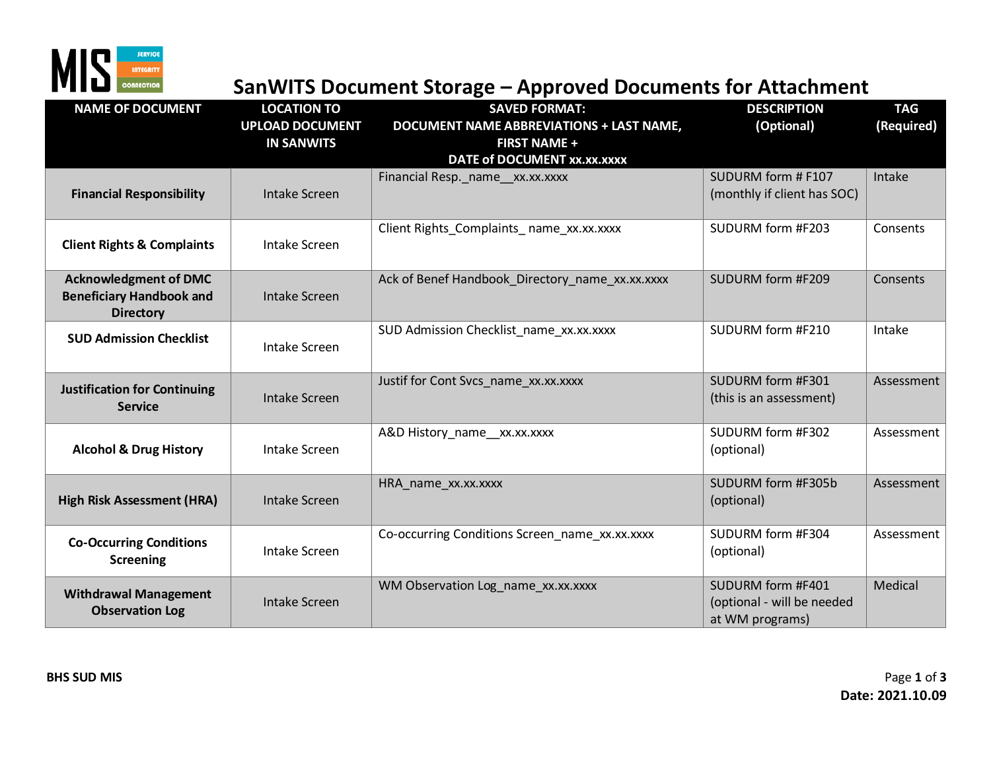

## **MIS**<br> **SANWITS Document Storage – Approved Documents for Attachment**<br>
SANWITS Document Storage – Approved Documents for Attachment

| <b>NAME OF DOCUMENT</b>                                                             | <b>LOCATION TO</b><br><b>UPLOAD DOCUMENT</b><br><b>IN SANWITS</b> | . .<br><b>SAVED FORMAT:</b><br><b>DOCUMENT NAME ABBREVIATIONS + LAST NAME,</b><br><b>FIRST NAME +</b><br>DATE of DOCUMENT xx.xx.xxxx | <b>DESCRIPTION</b><br>(Optional)                                   | <b>TAG</b><br>(Required) |
|-------------------------------------------------------------------------------------|-------------------------------------------------------------------|--------------------------------------------------------------------------------------------------------------------------------------|--------------------------------------------------------------------|--------------------------|
| <b>Financial Responsibility</b>                                                     | <b>Intake Screen</b>                                              | Financial Resp. name xx.xx.xxxx                                                                                                      | SUDURM form # F107<br>(monthly if client has SOC)                  | Intake                   |
| <b>Client Rights &amp; Complaints</b>                                               | <b>Intake Screen</b>                                              | Client Rights_Complaints_name_xx.xx.xxxx                                                                                             | SUDURM form #F203                                                  | Consents                 |
| <b>Acknowledgment of DMC</b><br><b>Beneficiary Handbook and</b><br><b>Directory</b> | <b>Intake Screen</b>                                              | Ack of Benef Handbook Directory name xx.xx.xxxx                                                                                      | SUDURM form #F209                                                  | Consents                 |
| <b>SUD Admission Checklist</b>                                                      | <b>Intake Screen</b>                                              | SUD Admission Checklist_name_xx.xx.xxxx                                                                                              | SUDURM form #F210                                                  | Intake                   |
| <b>Justification for Continuing</b><br><b>Service</b>                               | <b>Intake Screen</b>                                              | Justif for Cont Svcs_name_xx.xx.xxxx                                                                                                 | SUDURM form #F301<br>(this is an assessment)                       | Assessment               |
| <b>Alcohol &amp; Drug History</b>                                                   | <b>Intake Screen</b>                                              | A&D History_name_xx.xx.xxxx                                                                                                          | SUDURM form #F302<br>(optional)                                    | Assessment               |
| <b>High Risk Assessment (HRA)</b>                                                   | <b>Intake Screen</b>                                              | HRA_name_xx.xx.xxxx                                                                                                                  | SUDURM form #F305b<br>(optional)                                   | Assessment               |
| <b>Co-Occurring Conditions</b><br><b>Screening</b>                                  | Intake Screen                                                     | Co-occurring Conditions Screen name xx.xx.xxxx                                                                                       | SUDURM form #F304<br>(optional)                                    | Assessment               |
| <b>Withdrawal Management</b><br><b>Observation Log</b>                              | <b>Intake Screen</b>                                              | WM Observation Log_name_xx.xx.xxxx                                                                                                   | SUDURM form #F401<br>(optional - will be needed<br>at WM programs) | Medical                  |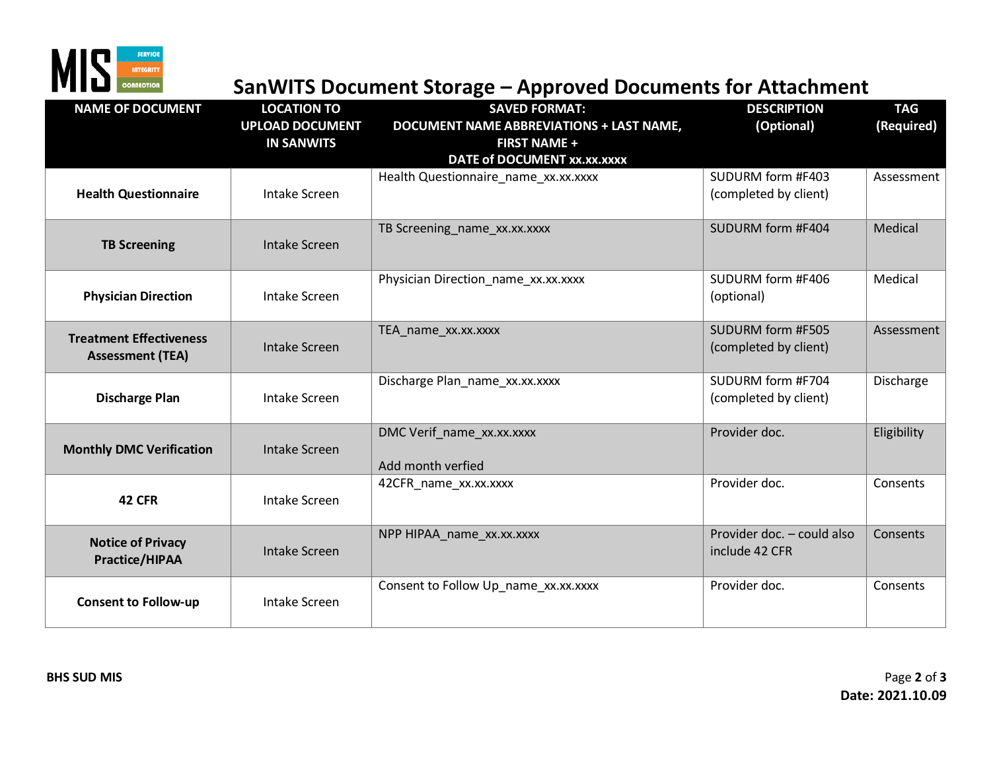

## **SanWITS Document Storage – Approved Documents for Attachment**

| <b>NAME OF DOCUMENT</b>                                   | <b>LOCATION TO</b><br><b>UPLOAD DOCUMENT</b><br><b>IN SANWITS</b> | . .<br><b>SAVED FORMAT:</b><br><b>DOCUMENT NAME ABBREVIATIONS + LAST NAME,</b><br><b>FIRST NAME +</b><br>DATE of DOCUMENT xx.xx.xxxx | <b>DESCRIPTION</b><br>(Optional)             | <b>TAG</b><br>(Required) |
|-----------------------------------------------------------|-------------------------------------------------------------------|--------------------------------------------------------------------------------------------------------------------------------------|----------------------------------------------|--------------------------|
| <b>Health Questionnaire</b>                               | <b>Intake Screen</b>                                              | Health Questionnaire_name_xx.xx.xxxx                                                                                                 | SUDURM form #F403<br>(completed by client)   | Assessment               |
| <b>TB Screening</b>                                       | Intake Screen                                                     | TB Screening_name_xx.xx.xxxx                                                                                                         | SUDURM form #F404                            | Medical                  |
| <b>Physician Direction</b>                                | Intake Screen                                                     | Physician Direction_name_xx.xx.xxxx                                                                                                  | SUDURM form #F406<br>(optional)              | Medical                  |
| <b>Treatment Effectiveness</b><br><b>Assessment (TEA)</b> | <b>Intake Screen</b>                                              | TEA_name_xx.xx.xxxx                                                                                                                  | SUDURM form #F505<br>(completed by client)   | Assessment               |
| <b>Discharge Plan</b>                                     | <b>Intake Screen</b>                                              | Discharge Plan_name_xx.xx.xxxx                                                                                                       | SUDURM form #F704<br>(completed by client)   | Discharge                |
| <b>Monthly DMC Verification</b>                           | <b>Intake Screen</b>                                              | DMC Verif_name_xx.xx.xxxx<br>Add month verfied                                                                                       | Provider doc.                                | Eligibility              |
| 42 CFR                                                    | <b>Intake Screen</b>                                              | 42CFR_name_xx.xx.xxxx                                                                                                                | Provider doc.                                | Consents                 |
| <b>Notice of Privacy</b><br><b>Practice/HIPAA</b>         | <b>Intake Screen</b>                                              | NPP HIPAA_name_xx.xx.xxxx                                                                                                            | Provider doc. - could also<br>include 42 CFR | Consents                 |
| <b>Consent to Follow-up</b>                               | <b>Intake Screen</b>                                              | Consent to Follow Up_name_xx.xx.xxxx                                                                                                 | Provider doc.                                | Consents                 |